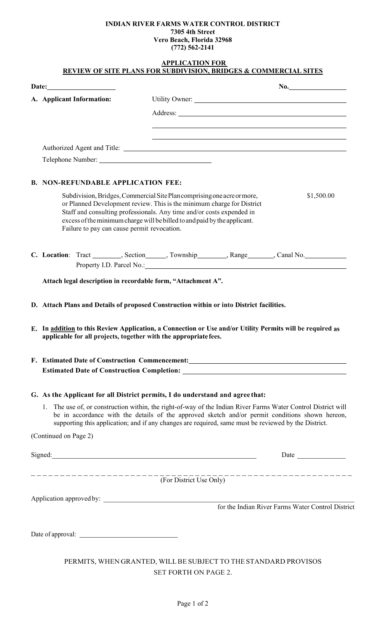## **INDIAN RIVER FARMS WATER CONTROL DISTRICT 7305 4th Street Vero Beach, Florida 32968**

|                                                                  | Vero Beach, Florida 32968<br>$(772)$ 562-2141                                                                                                                                                                                                                                                                            |                                                   |
|------------------------------------------------------------------|--------------------------------------------------------------------------------------------------------------------------------------------------------------------------------------------------------------------------------------------------------------------------------------------------------------------------|---------------------------------------------------|
|                                                                  | <b>APPLICATION FOR</b><br>REVIEW OF SITE PLANS FOR SUBDIVISION, BRIDGES & COMMERCIAL SITES                                                                                                                                                                                                                               |                                                   |
|                                                                  |                                                                                                                                                                                                                                                                                                                          |                                                   |
| A. Applicant Information:                                        |                                                                                                                                                                                                                                                                                                                          |                                                   |
|                                                                  |                                                                                                                                                                                                                                                                                                                          |                                                   |
|                                                                  |                                                                                                                                                                                                                                                                                                                          |                                                   |
|                                                                  |                                                                                                                                                                                                                                                                                                                          |                                                   |
|                                                                  |                                                                                                                                                                                                                                                                                                                          |                                                   |
|                                                                  |                                                                                                                                                                                                                                                                                                                          |                                                   |
| <b>B. NON-REFUNDABLE APPLICATION FEE:</b>                        |                                                                                                                                                                                                                                                                                                                          |                                                   |
| Failure to pay can cause permit revocation.                      | Subdivision, Bridges, Commercial Site Plan comprising one acre or more,<br>or Planned Development review. This is the minimum charge for District<br>Staff and consulting professionals. Any time and/or costs expended in<br>excess of the minimum charge will be billed to and paid by the applicant.                  | \$1,500.00                                        |
|                                                                  | C. Location: Tract ________, Section _____, Township _______, Range ______, Canal No. _____________<br>Property I.D. Parcel No.: 1998                                                                                                                                                                                    |                                                   |
|                                                                  |                                                                                                                                                                                                                                                                                                                          |                                                   |
| Attach legal description in recordable form, "Attachment A".     |                                                                                                                                                                                                                                                                                                                          |                                                   |
|                                                                  | D. Attach Plans and Details of proposed Construction within or into District facilities.                                                                                                                                                                                                                                 |                                                   |
| applicable for all projects, together with the appropriate fees. | E. In addition to this Review Application, a Connection or Use and/or Utility Permits will be required as                                                                                                                                                                                                                |                                                   |
|                                                                  | F. Estimated Date of Construction Commencement: ________________________________                                                                                                                                                                                                                                         |                                                   |
|                                                                  |                                                                                                                                                                                                                                                                                                                          |                                                   |
|                                                                  | G. As the Applicant for all District permits, I do understand and agree that:                                                                                                                                                                                                                                            |                                                   |
|                                                                  | 1. The use of, or construction within, the right-of-way of the Indian River Farms Water Control District will<br>be in accordance with the details of the approved sketch and/or permit conditions shown hereon,<br>supporting this application; and if any changes are required, same must be reviewed by the District. |                                                   |
| (Continued on Page 2)                                            |                                                                                                                                                                                                                                                                                                                          |                                                   |
|                                                                  |                                                                                                                                                                                                                                                                                                                          |                                                   |
|                                                                  |                                                                                                                                                                                                                                                                                                                          |                                                   |
| ----------------------                                           | (For District Use Only)                                                                                                                                                                                                                                                                                                  |                                                   |
|                                                                  |                                                                                                                                                                                                                                                                                                                          |                                                   |
|                                                                  |                                                                                                                                                                                                                                                                                                                          | for the Indian River Farms Water Control District |
|                                                                  |                                                                                                                                                                                                                                                                                                                          |                                                   |
|                                                                  |                                                                                                                                                                                                                                                                                                                          |                                                   |
|                                                                  | PERMITS, WHEN GRANTED, WILL BE SUBJECT TO THE STANDARD PROVISOS                                                                                                                                                                                                                                                          |                                                   |

SET FORTH ON PAGE 2.